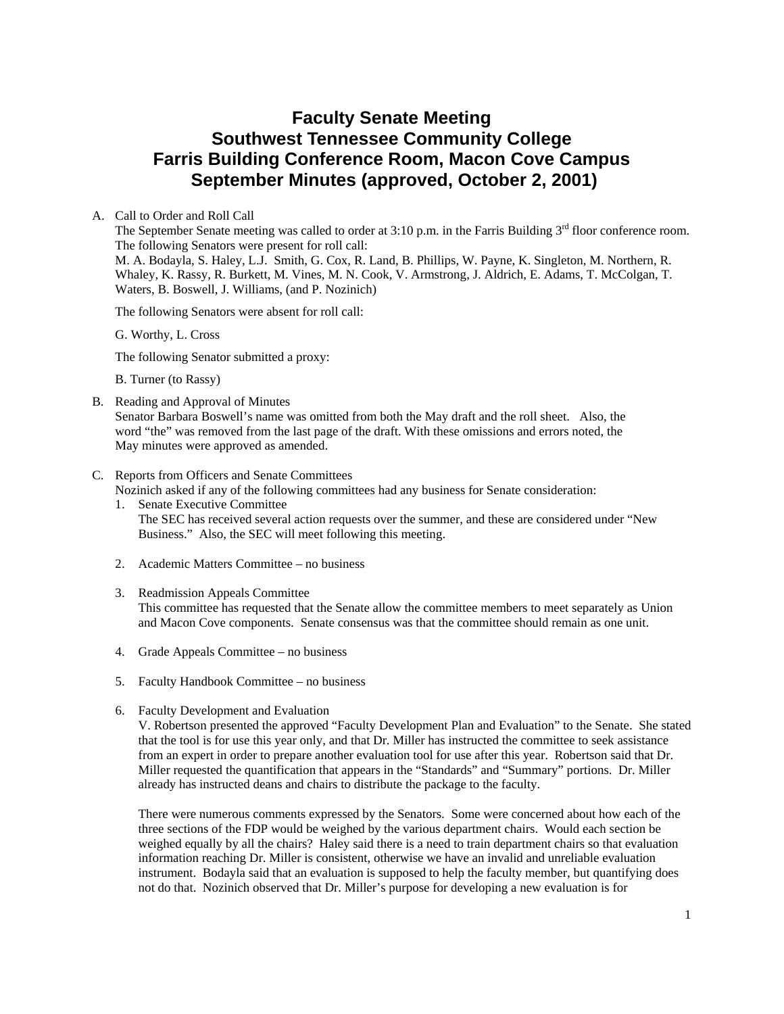# **Faculty Senate Meeting Southwest Tennessee Community College Farris Building Conference Room, Macon Cove Campus September Minutes (approved, October 2, 2001)**

### A. Call to Order and Roll Call

The September Senate meeting was called to order at 3:10 p.m. in the Farris Building 3<sup>rd</sup> floor conference room. The following Senators were present for roll call:

M. A. Bodayla, S. Haley, L.J. Smith, G. Cox, R. Land, B. Phillips, W. Payne, K. Singleton, M. Northern, R. Whaley, K. Rassy, R. Burkett, M. Vines, M. N. Cook, V. Armstrong, J. Aldrich, E. Adams, T. McColgan, T. Waters, B. Boswell, J. Williams, (and P. Nozinich)

The following Senators were absent for roll call:

G. Worthy, L. Cross

The following Senator submitted a proxy:

B. Turner (to Rassy)

B. Reading and Approval of Minutes

Senator Barbara Boswell's name was omitted from both the May draft and the roll sheet. Also, the word "the" was removed from the last page of the draft. With these omissions and errors noted, the May minutes were approved as amended.

#### C. Reports from Officers and Senate Committees

Nozinich asked if any of the following committees had any business for Senate consideration:

- 1. Senate Executive Committee The SEC has received several action requests over the summer, and these are considered under "New Business." Also, the SEC will meet following this meeting.
- 2. Academic Matters Committee no business
- 3. Readmission Appeals Committee

This committee has requested that the Senate allow the committee members to meet separately as Union and Macon Cove components. Senate consensus was that the committee should remain as one unit.

- 4. Grade Appeals Committee no business
- 5. Faculty Handbook Committee no business
- 6. Faculty Development and Evaluation

V. Robertson presented the approved "Faculty Development Plan and Evaluation" to the Senate. She stated that the tool is for use this year only, and that Dr. Miller has instructed the committee to seek assistance from an expert in order to prepare another evaluation tool for use after this year. Robertson said that Dr. Miller requested the quantification that appears in the "Standards" and "Summary" portions. Dr. Miller already has instructed deans and chairs to distribute the package to the faculty.

There were numerous comments expressed by the Senators. Some were concerned about how each of the three sections of the FDP would be weighed by the various department chairs. Would each section be weighed equally by all the chairs? Haley said there is a need to train department chairs so that evaluation information reaching Dr. Miller is consistent, otherwise we have an invalid and unreliable evaluation instrument. Bodayla said that an evaluation is supposed to help the faculty member, but quantifying does not do that. Nozinich observed that Dr. Miller's purpose for developing a new evaluation is for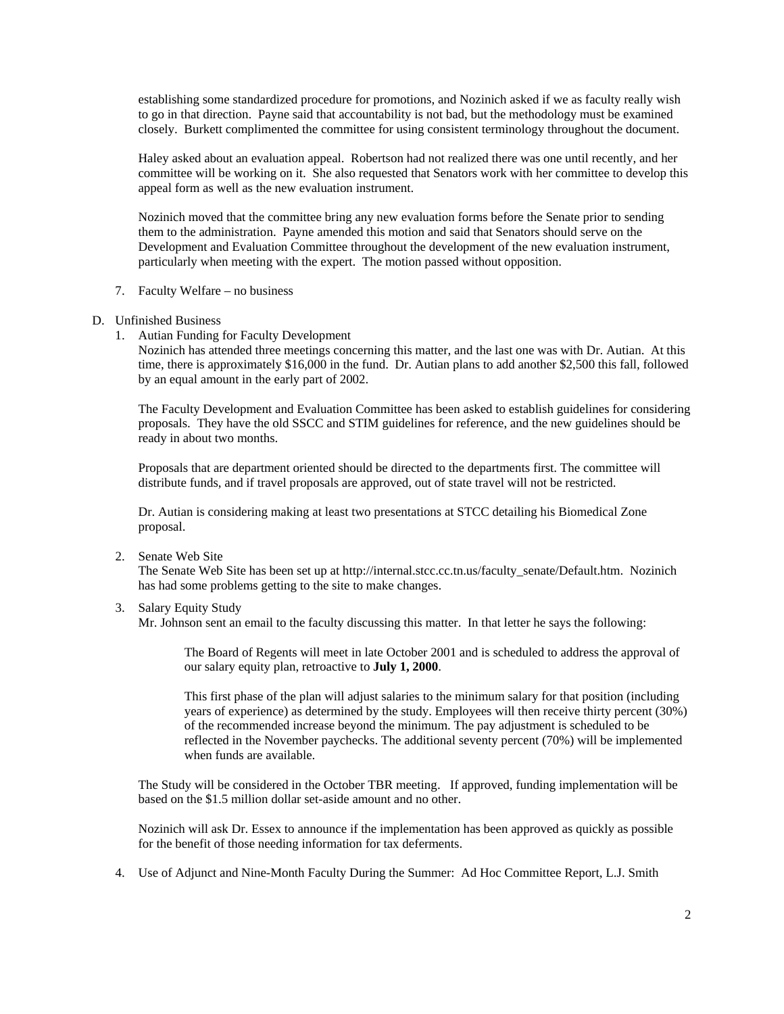establishing some standardized procedure for promotions, and Nozinich asked if we as faculty really wish to go in that direction. Payne said that accountability is not bad, but the methodology must be examined closely. Burkett complimented the committee for using consistent terminology throughout the document.

Haley asked about an evaluation appeal. Robertson had not realized there was one until recently, and her committee will be working on it. She also requested that Senators work with her committee to develop this appeal form as well as the new evaluation instrument.

Nozinich moved that the committee bring any new evaluation forms before the Senate prior to sending them to the administration. Payne amended this motion and said that Senators should serve on the Development and Evaluation Committee throughout the development of the new evaluation instrument, particularly when meeting with the expert. The motion passed without opposition.

- 7. Faculty Welfare no business
- D. Unfinished Business
	- 1. Autian Funding for Faculty Development

Nozinich has attended three meetings concerning this matter, and the last one was with Dr. Autian. At this time, there is approximately \$16,000 in the fund. Dr. Autian plans to add another \$2,500 this fall, followed by an equal amount in the early part of 2002.

The Faculty Development and Evaluation Committee has been asked to establish guidelines for considering proposals. They have the old SSCC and STIM guidelines for reference, and the new guidelines should be ready in about two months.

Proposals that are department oriented should be directed to the departments first. The committee will distribute funds, and if travel proposals are approved, out of state travel will not be restricted.

Dr. Autian is considering making at least two presentations at STCC detailing his Biomedical Zone proposal.

2. Senate Web Site

The Senate Web Site has been set up at http://internal.stcc.cc.tn.us/faculty\_senate/Default.htm. Nozinich has had some problems getting to the site to make changes.

3. Salary Equity Study

Mr. Johnson sent an email to the faculty discussing this matter. In that letter he says the following:

The Board of Regents will meet in late October 2001 and is scheduled to address the approval of our salary equity plan, retroactive to **July 1, 2000**.

This first phase of the plan will adjust salaries to the minimum salary for that position (including years of experience) as determined by the study. Employees will then receive thirty percent (30%) of the recommended increase beyond the minimum. The pay adjustment is scheduled to be reflected in the November paychecks. The additional seventy percent (70%) will be implemented when funds are available.

The Study will be considered in the October TBR meeting. If approved, funding implementation will be based on the \$1.5 million dollar set-aside amount and no other.

Nozinich will ask Dr. Essex to announce if the implementation has been approved as quickly as possible for the benefit of those needing information for tax deferments.

4. Use of Adjunct and Nine-Month Faculty During the Summer: Ad Hoc Committee Report, L.J. Smith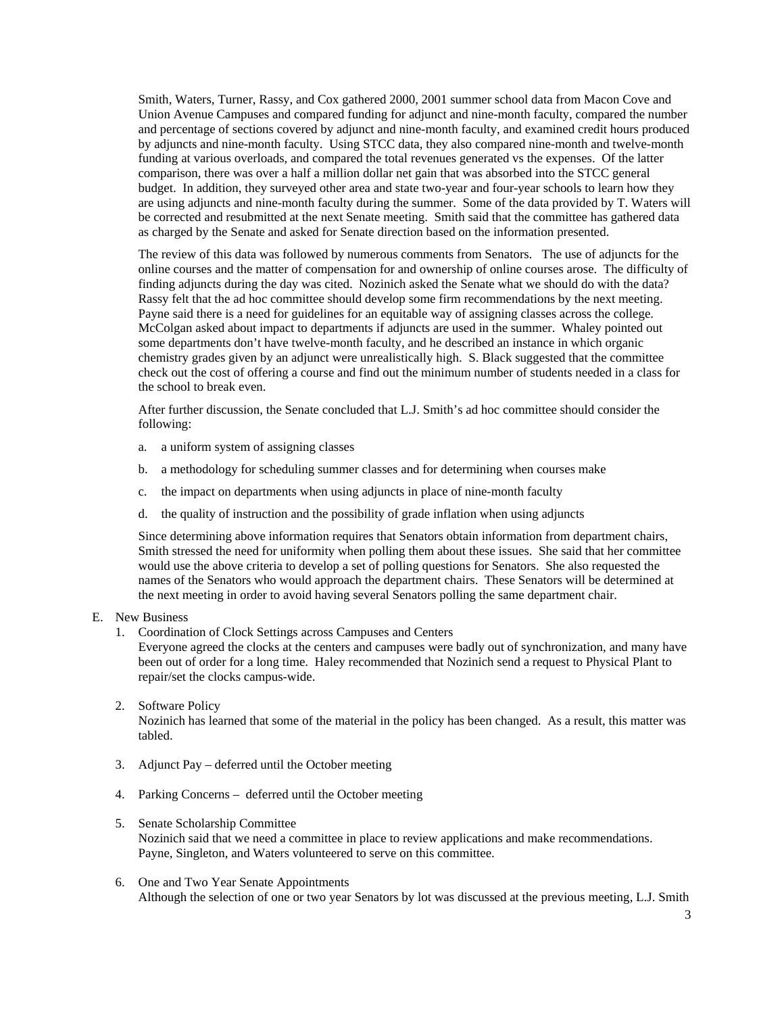Smith, Waters, Turner, Rassy, and Cox gathered 2000, 2001 summer school data from Macon Cove and Union Avenue Campuses and compared funding for adjunct and nine-month faculty, compared the number and percentage of sections covered by adjunct and nine-month faculty, and examined credit hours produced by adjuncts and nine-month faculty. Using STCC data, they also compared nine-month and twelve-month funding at various overloads, and compared the total revenues generated vs the expenses. Of the latter comparison, there was over a half a million dollar net gain that was absorbed into the STCC general budget. In addition, they surveyed other area and state two-year and four-year schools to learn how they are using adjuncts and nine-month faculty during the summer. Some of the data provided by T. Waters will be corrected and resubmitted at the next Senate meeting. Smith said that the committee has gathered data as charged by the Senate and asked for Senate direction based on the information presented.

The review of this data was followed by numerous comments from Senators. The use of adjuncts for the online courses and the matter of compensation for and ownership of online courses arose. The difficulty of finding adjuncts during the day was cited. Nozinich asked the Senate what we should do with the data? Rassy felt that the ad hoc committee should develop some firm recommendations by the next meeting. Payne said there is a need for guidelines for an equitable way of assigning classes across the college. McColgan asked about impact to departments if adjuncts are used in the summer. Whaley pointed out some departments don't have twelve-month faculty, and he described an instance in which organic chemistry grades given by an adjunct were unrealistically high. S. Black suggested that the committee check out the cost of offering a course and find out the minimum number of students needed in a class for the school to break even.

After further discussion, the Senate concluded that L.J. Smith's ad hoc committee should consider the following:

- a. a uniform system of assigning classes
- b. a methodology for scheduling summer classes and for determining when courses make
- c. the impact on departments when using adjuncts in place of nine-month faculty
- d. the quality of instruction and the possibility of grade inflation when using adjuncts

Since determining above information requires that Senators obtain information from department chairs, Smith stressed the need for uniformity when polling them about these issues. She said that her committee would use the above criteria to develop a set of polling questions for Senators. She also requested the names of the Senators who would approach the department chairs. These Senators will be determined at the next meeting in order to avoid having several Senators polling the same department chair.

#### E. New Business

1. Coordination of Clock Settings across Campuses and Centers

Everyone agreed the clocks at the centers and campuses were badly out of synchronization, and many have been out of order for a long time. Haley recommended that Nozinich send a request to Physical Plant to repair/set the clocks campus-wide.

#### 2. Software Policy

Nozinich has learned that some of the material in the policy has been changed. As a result, this matter was tabled.

- 3. Adjunct Pay deferred until the October meeting
- 4. Parking Concerns deferred until the October meeting
- 5. Senate Scholarship Committee

Nozinich said that we need a committee in place to review applications and make recommendations. Payne, Singleton, and Waters volunteered to serve on this committee.

6. One and Two Year Senate Appointments Although the selection of one or two year Senators by lot was discussed at the previous meeting, L.J. Smith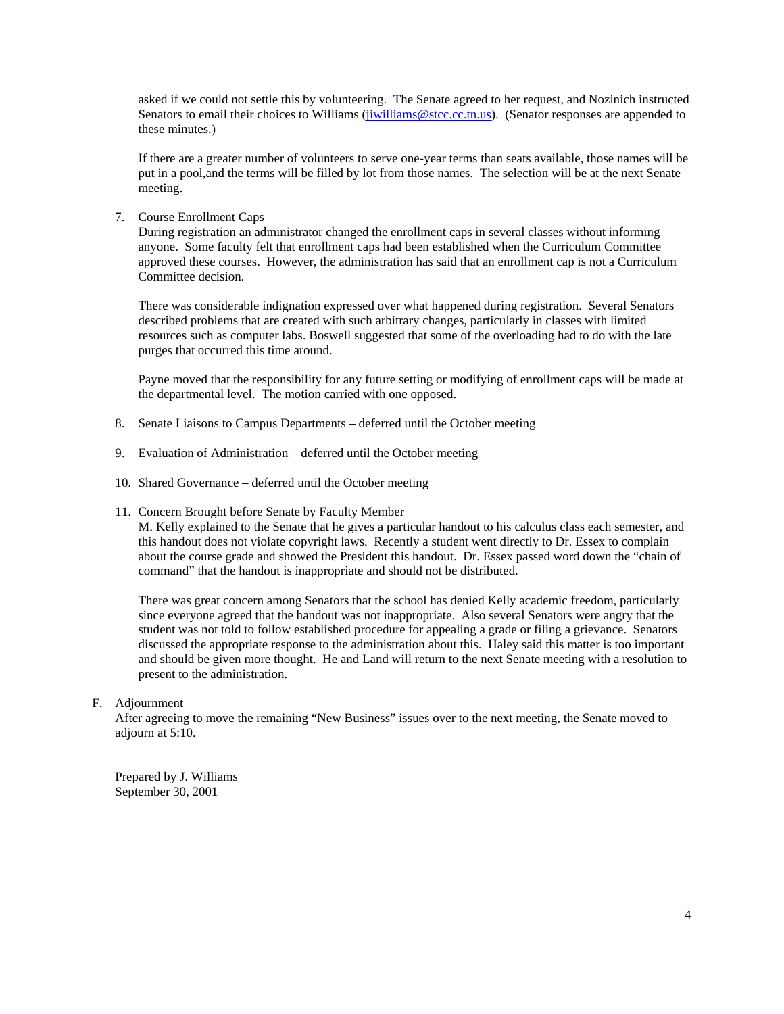asked if we could not settle this by volunteering. The Senate agreed to her request, and Nozinich instructed Senators to email their choices to Williams (jiwilliams @stcc.cc.tn.us). (Senator responses are appended to these minutes.)

If there are a greater number of volunteers to serve one-year terms than seats available, those names will be put in a pool,and the terms will be filled by lot from those names. The selection will be at the next Senate meeting.

7. Course Enrollment Caps

During registration an administrator changed the enrollment caps in several classes without informing anyone. Some faculty felt that enrollment caps had been established when the Curriculum Committee approved these courses. However, the administration has said that an enrollment cap is not a Curriculum Committee decision.

There was considerable indignation expressed over what happened during registration. Several Senators described problems that are created with such arbitrary changes, particularly in classes with limited resources such as computer labs. Boswell suggested that some of the overloading had to do with the late purges that occurred this time around.

Payne moved that the responsibility for any future setting or modifying of enrollment caps will be made at the departmental level. The motion carried with one opposed.

- 8. Senate Liaisons to Campus Departments deferred until the October meeting
- 9. Evaluation of Administration deferred until the October meeting
- 10. Shared Governance deferred until the October meeting
- 11. Concern Brought before Senate by Faculty Member

M. Kelly explained to the Senate that he gives a particular handout to his calculus class each semester, and this handout does not violate copyright laws. Recently a student went directly to Dr. Essex to complain about the course grade and showed the President this handout. Dr. Essex passed word down the "chain of command" that the handout is inappropriate and should not be distributed.

There was great concern among Senators that the school has denied Kelly academic freedom, particularly since everyone agreed that the handout was not inappropriate. Also several Senators were angry that the student was not told to follow established procedure for appealing a grade or filing a grievance. Senators discussed the appropriate response to the administration about this. Haley said this matter is too important and should be given more thought. He and Land will return to the next Senate meeting with a resolution to present to the administration.

## F. Adjournment

After agreeing to move the remaining "New Business" issues over to the next meeting, the Senate moved to adjourn at 5:10.

Prepared by J. Williams September 30, 2001